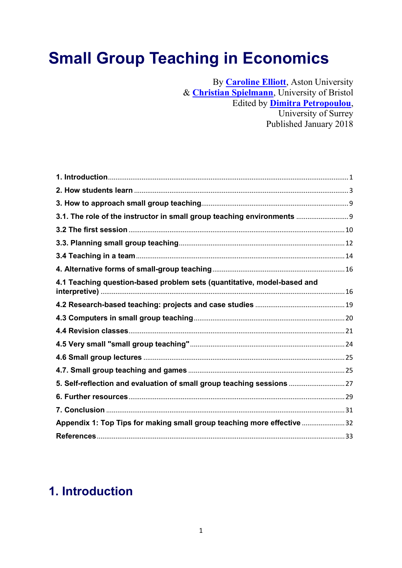# Small Group Teaching in Economics

By **[Caroline Elliott](https://www.economicsnetwork.ac.uk/profiles/127)**, Aston University & **[Christian Spielmann](https://www.economicsnetwork.ac.uk/profiles/220)**, University of Bristol Edited by **[Dimitra Petropoulou](https://www.economicsnetwork.ac.uk/profiles/114)**, University of Surrey Published January 2018

| 3.1. The role of the instructor in small group teaching environments    |  |
|-------------------------------------------------------------------------|--|
|                                                                         |  |
|                                                                         |  |
|                                                                         |  |
|                                                                         |  |
| 4.1 Teaching question-based problem sets (quantitative, model-based and |  |
|                                                                         |  |
|                                                                         |  |
|                                                                         |  |
|                                                                         |  |
|                                                                         |  |
|                                                                         |  |
| 5. Self-reflection and evaluation of small group teaching sessions  27  |  |
|                                                                         |  |
|                                                                         |  |
| Appendix 1: Top Tips for making small group teaching more effective 32  |  |
|                                                                         |  |

# <span id="page-0-0"></span>1. Introduction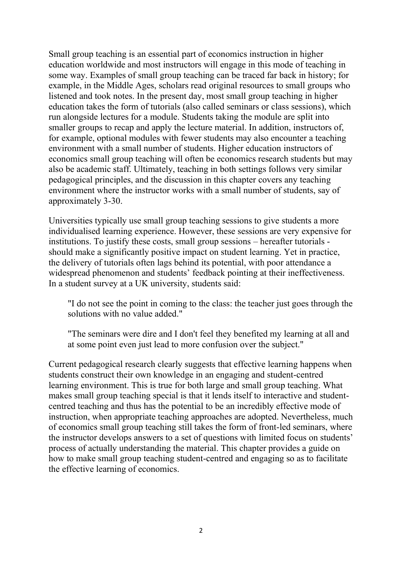Small group teaching is an essential part of economics instruction in higher education worldwide and most instructors will engage in this mode of teaching in some way. Examples of small group teaching can be traced far back in history; for example, in the Middle Ages, scholars read original resources to small groups who listened and took notes. In the present day, most small group teaching in higher education takes the form of tutorials (also called seminars or class sessions), which run alongside lectures for a module. Students taking the module are split into smaller groups to recap and apply the lecture material. In addition, instructors of, for example, optional modules with fewer students may also encounter a teaching environment with a small number of students. Higher education instructors of economics small group teaching will often be economics research students but may also be academic staff. Ultimately, teaching in both settings follows very similar pedagogical principles, and the discussion in this chapter covers any teaching environment where the instructor works with a small number of students, say of approximately 3-30.

Universities typically use small group teaching sessions to give students a more individualised learning experience. However, these sessions are very expensive for institutions. To justify these costs, small group sessions – hereafter tutorials should make a significantly positive impact on student learning. Yet in practice, the delivery of tutorials often lags behind its potential, with poor attendance a widespread phenomenon and students' feedback pointing at their ineffectiveness. In a student survey at a UK university, students said:

"I do not see the point in coming to the class: the teacher just goes through the solutions with no value added."

"The seminars were dire and I don't feel they benefited my learning at all and at some point even just lead to more confusion over the subject."

Current pedagogical research clearly suggests that effective learning happens when students construct their own knowledge in an engaging and student-centred learning environment. This is true for both large and small group teaching. What makes small group teaching special is that it lends itself to interactive and studentcentred teaching and thus has the potential to be an incredibly effective mode of instruction, when appropriate teaching approaches are adopted. Nevertheless, much of economics small group teaching still takes the form of front-led seminars, where the instructor develops answers to a set of questions with limited focus on students' process of actually understanding the material. This chapter provides a guide on how to make small group teaching student-centred and engaging so as to facilitate the effective learning of economics.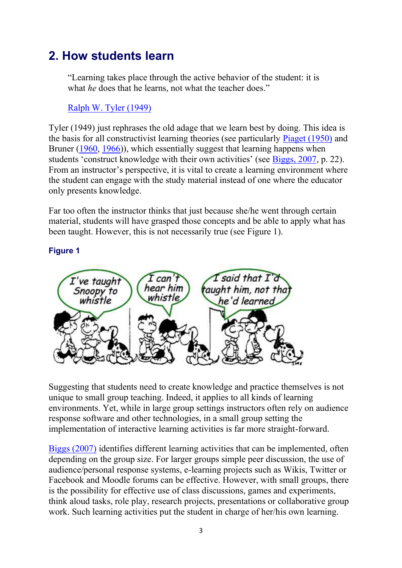# <span id="page-2-0"></span>2. How students learn

"Learning takes place through the active behavior of the student: it is what *he* does that he learns, not what the teacher does."

### [Ralph W. Tyler \(1949\)](https://www.economicsnetwork.ac.uk/refs#tyler1949)

Tyler (1949) just rephrases the old adage that we learn best by doing. This idea is the basis for all constructivist learning theories (see particularly [Piaget \(1950\)](https://www.economicsnetwork.ac.uk/refs#piaget1950) and Bruner [\(1960,](https://www.economicsnetwork.ac.uk/refs#bruner1960) [1966\)](https://www.economicsnetwork.ac.uk/refs#bruner1966)), which essentially suggest that learning happens when students 'construct knowledge with their own activities' (see [Biggs, 2007,](https://www.economicsnetwork.ac.uk/refs#biggs2007) p. 22). From an instructor's perspective, it is vital to create a learning environment where the student can engage with the study material instead of one where the educator only presents knowledge.

Far too often the instructor thinks that just because she/he went through certain material, students will have grasped those concepts and be able to apply what has been taught. However, this is not necessarily true (see Figure 1).

### Figure 1



Suggesting that students need to create knowledge and practice themselves is not unique to small group teaching. Indeed, it applies to all kinds of learning environments. Yet, while in large group settings instructors often rely on audience response software and other technologies, in a small group setting the implementation of interactive learning activities is far more straight-forward.

[Biggs \(2007\)](https://www.economicsnetwork.ac.uk/refs#biggs2007) identifies different learning activities that can be implemented, often depending on the group size. For larger groups simple peer discussion, the use of audience/personal response systems, e-learning projects such as Wikis, Twitter or Facebook and Moodle forums can be effective. However, with small groups, there is the possibility for effective use of class discussions, games and experiments, think aloud tasks, role play, research projects, presentations or collaborative group work. Such learning activities put the student in charge of her/his own learning.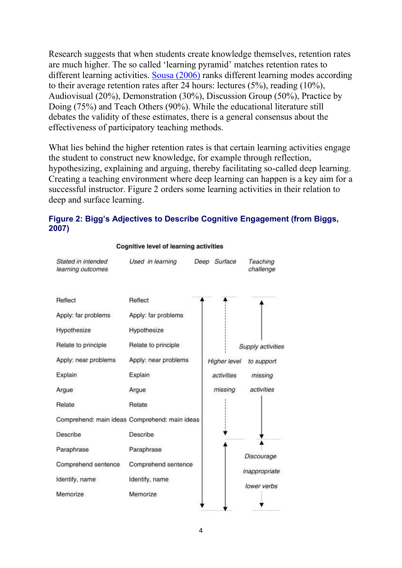Research suggests that when students create knowledge themselves, retention rates are much higher. The so called 'learning pyramid' matches retention rates to different learning activities. [Sousa \(2006\)](https://www.economicsnetwork.ac.uk/refs#sousa2006) ranks different learning modes according to their average retention rates after 24 hours: lectures (5%), reading (10%), Audiovisual (20%), Demonstration (30%), Discussion Group (50%), Practice by Doing (75%) and Teach Others (90%). While the educational literature still debates the validity of these estimates, there is a general consensus about the effectiveness of participatory teaching methods.

What lies behind the higher retention rates is that certain learning activities engage the student to construct new knowledge, for example through reflection, hypothesizing, explaining and arguing, thereby facilitating so-called deep learning. Creating a teaching environment where deep learning can happen is a key aim for a successful instructor. Figure 2 orders some learning activities in their relation to deep and surface learning.

#### Figure 2: Bigg's Adjectives to Describe Cognitive Engagement (from Biggs, 2007)



#### **Cognitive level of learning activities**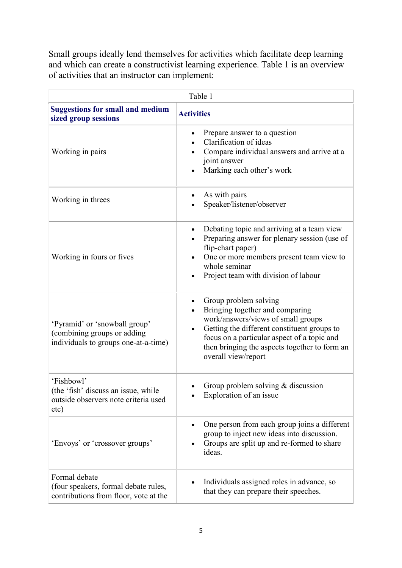Small groups ideally lend themselves for activities which facilitate deep learning and which can create a constructivist learning experience. Table 1 is an overview of activities that an instructor can implement:

| Table 1                                                                                              |                                                                                                                                                                                                                                                                                   |
|------------------------------------------------------------------------------------------------------|-----------------------------------------------------------------------------------------------------------------------------------------------------------------------------------------------------------------------------------------------------------------------------------|
| <b>Suggestions for small and medium</b><br>sized group sessions                                      | <b>Activities</b>                                                                                                                                                                                                                                                                 |
| Working in pairs                                                                                     | Prepare answer to a question<br>$\bullet$<br>Clarification of ideas<br>Compare individual answers and arrive at a<br>joint answer<br>Marking each other's work                                                                                                                    |
| Working in threes                                                                                    | As with pairs<br>Speaker/listener/observer                                                                                                                                                                                                                                        |
| Working in fours or fives                                                                            | Debating topic and arriving at a team view<br>$\bullet$<br>Preparing answer for plenary session (use of<br>flip-chart paper)<br>One or more members present team view to<br>whole seminar<br>Project team with division of labour                                                 |
| 'Pyramid' or 'snowball group'<br>(combining groups or adding<br>individuals to groups one-at-a-time) | Group problem solving<br>$\bullet$<br>Bringing together and comparing<br>work/answers/views of small groups<br>Getting the different constituent groups to<br>focus on a particular aspect of a topic and<br>then bringing the aspects together to form an<br>overall view/report |
| 'Fishbowl'<br>(the 'fish' discuss an issue, while<br>outside observers note criteria used<br>etc)    | Group problem solving $&$ discussion<br>Exploration of an issue                                                                                                                                                                                                                   |
| 'Envoys' or 'crossover groups'                                                                       | One person from each group joins a different<br>group to inject new ideas into discussion.<br>Groups are split up and re-formed to share<br>ideas.                                                                                                                                |
| Formal debate<br>(four speakers, formal debate rules,<br>contributions from floor, vote at the       | Individuals assigned roles in advance, so<br>that they can prepare their speeches.                                                                                                                                                                                                |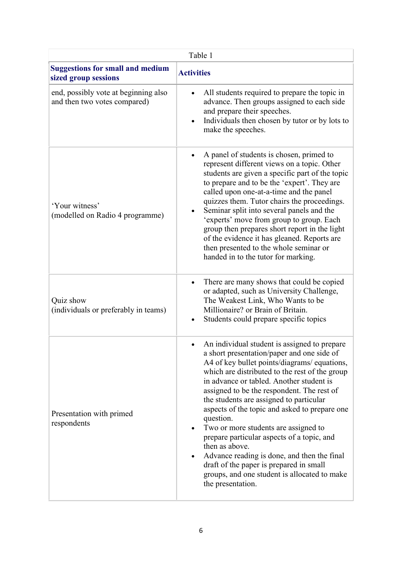| Table 1                                                              |                                                                                                                                                                                                                                                                                                                                                                                                                                                                                                                                                                                                                                                                                                  |
|----------------------------------------------------------------------|--------------------------------------------------------------------------------------------------------------------------------------------------------------------------------------------------------------------------------------------------------------------------------------------------------------------------------------------------------------------------------------------------------------------------------------------------------------------------------------------------------------------------------------------------------------------------------------------------------------------------------------------------------------------------------------------------|
| <b>Suggestions for small and medium</b><br>sized group sessions      | <b>Activities</b>                                                                                                                                                                                                                                                                                                                                                                                                                                                                                                                                                                                                                                                                                |
| end, possibly vote at beginning also<br>and then two votes compared) | All students required to prepare the topic in<br>advance. Then groups assigned to each side<br>and prepare their speeches.<br>Individuals then chosen by tutor or by lots to<br>make the speeches.                                                                                                                                                                                                                                                                                                                                                                                                                                                                                               |
| 'Your witness'<br>(modelled on Radio 4 programme)                    | A panel of students is chosen, primed to<br>represent different views on a topic. Other<br>students are given a specific part of the topic<br>to prepare and to be the 'expert'. They are<br>called upon one-at-a-time and the panel<br>quizzes them. Tutor chairs the proceedings.<br>Seminar split into several panels and the<br>'experts' move from group to group. Each<br>group then prepares short report in the light<br>of the evidence it has gleaned. Reports are<br>then presented to the whole seminar or<br>handed in to the tutor for marking.                                                                                                                                    |
| Quiz show<br>(individuals or preferably in teams)                    | There are many shows that could be copied<br>$\bullet$<br>or adapted, such as University Challenge,<br>The Weakest Link, Who Wants to be<br>Millionaire? or Brain of Britain.<br>Students could prepare specific topics                                                                                                                                                                                                                                                                                                                                                                                                                                                                          |
| Presentation with primed<br>respondents                              | An individual student is assigned to prepare<br>a short presentation/paper and one side of<br>A4 of key bullet points/diagrams/ equations,<br>which are distributed to the rest of the group<br>in advance or tabled. Another student is<br>assigned to be the respondent. The rest of<br>the students are assigned to particular<br>aspects of the topic and asked to prepare one<br>question.<br>Two or more students are assigned to<br>$\bullet$<br>prepare particular aspects of a topic, and<br>then as above.<br>Advance reading is done, and then the final<br>$\bullet$<br>draft of the paper is prepared in small<br>groups, and one student is allocated to make<br>the presentation. |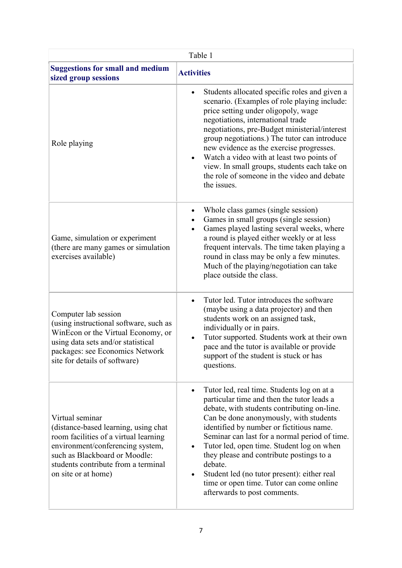| Table 1                                                                                                                                                                                                                             |                                                                                                                                                                                                                                                                                                                                                                                                                                                                                                                                                      |
|-------------------------------------------------------------------------------------------------------------------------------------------------------------------------------------------------------------------------------------|------------------------------------------------------------------------------------------------------------------------------------------------------------------------------------------------------------------------------------------------------------------------------------------------------------------------------------------------------------------------------------------------------------------------------------------------------------------------------------------------------------------------------------------------------|
| <b>Suggestions for small and medium</b><br>sized group sessions                                                                                                                                                                     | <b>Activities</b>                                                                                                                                                                                                                                                                                                                                                                                                                                                                                                                                    |
| Role playing                                                                                                                                                                                                                        | Students allocated specific roles and given a<br>$\bullet$<br>scenario. (Examples of role playing include:<br>price setting under oligopoly, wage<br>negotiations, international trade<br>negotiations, pre-Budget ministerial/interest<br>group negotiations.) The tutor can introduce<br>new evidence as the exercise progresses.<br>Watch a video with at least two points of<br>$\bullet$<br>view. In small groups, students each take on<br>the role of someone in the video and debate<br>the issues.                                          |
| Game, simulation or experiment<br>(there are many games or simulation<br>exercises available)                                                                                                                                       | Whole class games (single session)<br>$\bullet$<br>Games in small groups (single session)<br>Games played lasting several weeks, where<br>$\bullet$<br>a round is played either weekly or at less<br>frequent intervals. The time taken playing a<br>round in class may be only a few minutes.<br>Much of the playing/negotiation can take<br>place outside the class.                                                                                                                                                                               |
| Computer lab session<br>(using instructional software, such as<br>WinEcon or the Virtual Economy, or<br>using data sets and/or statistical<br>packages: see Economics Network<br>site for details of software)                      | Tutor led. Tutor introduces the software<br>$\bullet$<br>(maybe using a data projector) and then<br>students work on an assigned task,<br>individually or in pairs.<br>Tutor supported. Students work at their own<br>pace and the tutor is available or provide<br>support of the student is stuck or has<br>questions.                                                                                                                                                                                                                             |
| Virtual seminar<br>(distance-based learning, using chat<br>room facilities of a virtual learning<br>environment/conferencing system,<br>such as Blackboard or Moodle:<br>students contribute from a terminal<br>on site or at home) | Tutor led, real time. Students log on at a<br>$\bullet$<br>particular time and then the tutor leads a<br>debate, with students contributing on-line.<br>Can be done anonymously, with students<br>identified by number or fictitious name.<br>Seminar can last for a normal period of time.<br>Tutor led, open time. Student log on when<br>$\bullet$<br>they please and contribute postings to a<br>debate.<br>Student led (no tutor present): either real<br>$\bullet$<br>time or open time. Tutor can come online<br>afterwards to post comments. |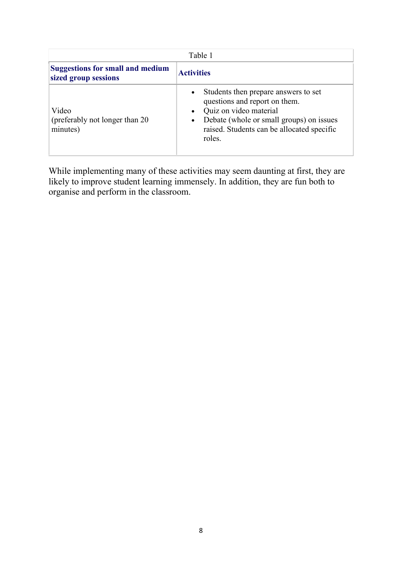| Table 1                                                         |                                                                                                                                                                                                                               |
|-----------------------------------------------------------------|-------------------------------------------------------------------------------------------------------------------------------------------------------------------------------------------------------------------------------|
| <b>Suggestions for small and medium</b><br>sized group sessions | <b>Activities</b>                                                                                                                                                                                                             |
| Video<br>(preferably not longer than 20)<br>minutes)            | Students then prepare answers to set<br>$\bullet$<br>questions and report on them.<br>Quiz on video material<br>Debate (whole or small groups) on issues<br>$\bullet$<br>raised. Students can be allocated specific<br>roles. |

While implementing many of these activities may seem daunting at first, they are likely to improve student learning immensely. In addition, they are fun both to organise and perform in the classroom.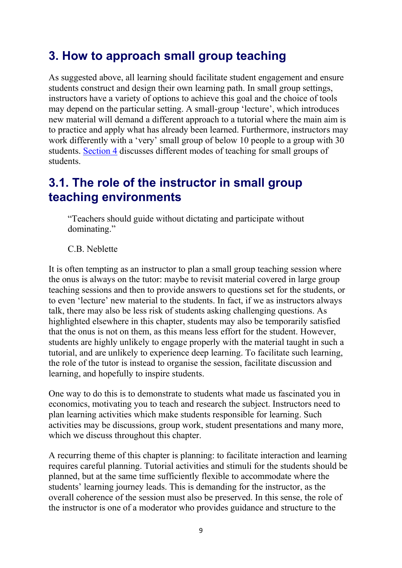# <span id="page-8-0"></span>3. How to approach small group teaching

As suggested above, all learning should facilitate student engagement and ensure students construct and design their own learning path. In small group settings, instructors have a variety of options to achieve this goal and the choice of tools may depend on the particular setting. A small-group 'lecture', which introduces new material will demand a different approach to a tutorial where the main aim is to practice and apply what has already been learned. Furthermore, instructors may work differently with a 'very' small group of below 10 people to a group with 30 students. [Section 4](https://www.economicsnetwork.ac.uk/handbook/smallgroup/4) discusses different modes of teaching for small groups of students.

### <span id="page-8-1"></span>3.1. The role of the instructor in small group teaching environments

"Teachers should guide without dictating and participate without dominating."

C.B. Neblette

It is often tempting as an instructor to plan a small group teaching session where the onus is always on the tutor: maybe to revisit material covered in large group teaching sessions and then to provide answers to questions set for the students, or to even 'lecture' new material to the students. In fact, if we as instructors always talk, there may also be less risk of students asking challenging questions. As highlighted elsewhere in this chapter, students may also be temporarily satisfied that the onus is not on them, as this means less effort for the student. However, students are highly unlikely to engage properly with the material taught in such a tutorial, and are unlikely to experience deep learning. To facilitate such learning, the role of the tutor is instead to organise the session, facilitate discussion and learning, and hopefully to inspire students.

One way to do this is to demonstrate to students what made us fascinated you in economics, motivating you to teach and research the subject. Instructors need to plan learning activities which make students responsible for learning. Such activities may be discussions, group work, student presentations and many more, which we discuss throughout this chapter.

A recurring theme of this chapter is planning: to facilitate interaction and learning requires careful planning. Tutorial activities and stimuli for the students should be planned, but at the same time sufficiently flexible to accommodate where the students' learning journey leads. This is demanding for the instructor, as the overall coherence of the session must also be preserved. In this sense, the role of the instructor is one of a moderator who provides guidance and structure to the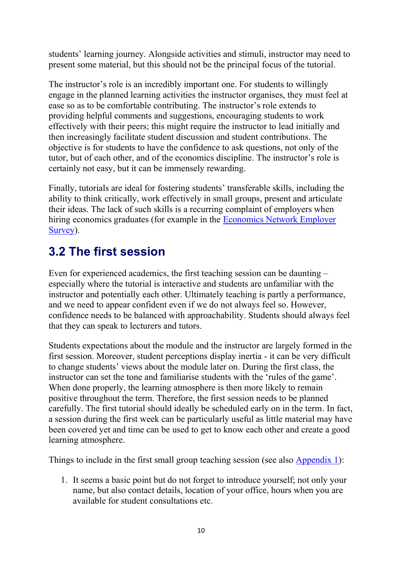students' learning journey. Alongside activities and stimuli, instructor may need to present some material, but this should not be the principal focus of the tutorial.

The instructor's role is an incredibly important one. For students to willingly engage in the planned learning activities the instructor organises, they must feel at ease so as to be comfortable contributing. The instructor's role extends to providing helpful comments and suggestions, encouraging students to work effectively with their peers; this might require the instructor to lead initially and then increasingly facilitate student discussion and student contributions. The objective is for students to have the confidence to ask questions, not only of the tutor, but of each other, and of the economics discipline. The instructor's role is certainly not easy, but it can be immensely rewarding.

Finally, tutorials are ideal for fostering students' transferable skills, including the ability to think critically, work effectively in small groups, present and articulate their ideas. The lack of such skills is a recurring complaint of employers when hiring economics graduates (for example in the [Economics Network Employer](https://www.economicsnetwork.ac.uk/projects/surveys/employers14-15)  [Survey\)](https://www.economicsnetwork.ac.uk/projects/surveys/employers14-15).

### <span id="page-9-0"></span>3.2 The first session

Even for experienced academics, the first teaching session can be daunting – especially where the tutorial is interactive and students are unfamiliar with the instructor and potentially each other. Ultimately teaching is partly a performance, and we need to appear confident even if we do not always feel so. However, confidence needs to be balanced with approachability. Students should always feel that they can speak to lecturers and tutors.

Students expectations about the module and the instructor are largely formed in the first session. Moreover, student perceptions display inertia - it can be very difficult to change students' views about the module later on. During the first class, the instructor can set the tone and familiarise students with the 'rules of the game'. When done properly, the learning atmosphere is then more likely to remain positive throughout the term. Therefore, the first session needs to be planned carefully. The first tutorial should ideally be scheduled early on in the term. In fact, a session during the first week can be particularly useful as little material may have been covered yet and time can be used to get to know each other and create a good learning atmosphere.

Things to include in the first small group teaching session (see also [Appendix 1\)](https://www.economicsnetwork.ac.uk/handbook/smallgroup/app1):

1. It seems a basic point but do not forget to introduce yourself; not only your name, but also contact details, location of your office, hours when you are available for student consultations etc.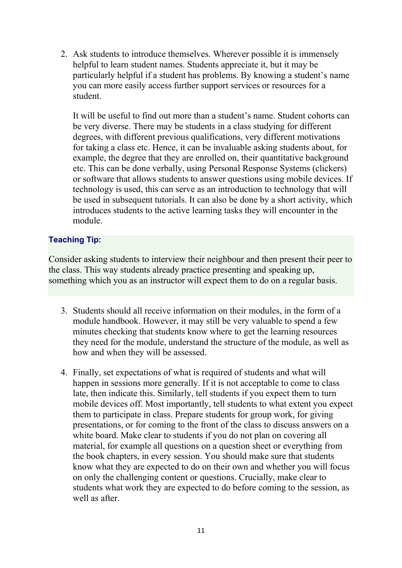2. Ask students to introduce themselves. Wherever possible it is immensely helpful to learn student names. Students appreciate it, but it may be particularly helpful if a student has problems. By knowing a student's name you can more easily access further support services or resources for a student.

It will be useful to find out more than a student's name. Student cohorts can be very diverse. There may be students in a class studying for different degrees, with different previous qualifications, very different motivations for taking a class etc. Hence, it can be invaluable asking students about, for example, the degree that they are enrolled on, their quantitative background etc. This can be done verbally, using Personal Response Systems (clickers) or software that allows students to answer questions using mobile devices. If technology is used, this can serve as an introduction to technology that will be used in subsequent tutorials. It can also be done by a short activity, which introduces students to the active learning tasks they will encounter in the module.

#### Teaching Tip:

Consider asking students to interview their neighbour and then present their peer to the class. This way students already practice presenting and speaking up, something which you as an instructor will expect them to do on a regular basis.

- 3. Students should all receive information on their modules, in the form of a module handbook. However, it may still be very valuable to spend a few minutes checking that students know where to get the learning resources they need for the module, understand the structure of the module, as well as how and when they will be assessed.
- 4. Finally, set expectations of what is required of students and what will happen in sessions more generally. If it is not acceptable to come to class late, then indicate this. Similarly, tell students if you expect them to turn mobile devices off. Most importantly, tell students to what extent you expect them to participate in class. Prepare students for group work, for giving presentations, or for coming to the front of the class to discuss answers on a white board. Make clear to students if you do not plan on covering all material, for example all questions on a question sheet or everything from the book chapters, in every session. You should make sure that students know what they are expected to do on their own and whether you will focus on only the challenging content or questions. Crucially, make clear to students what work they are expected to do before coming to the session, as well as after.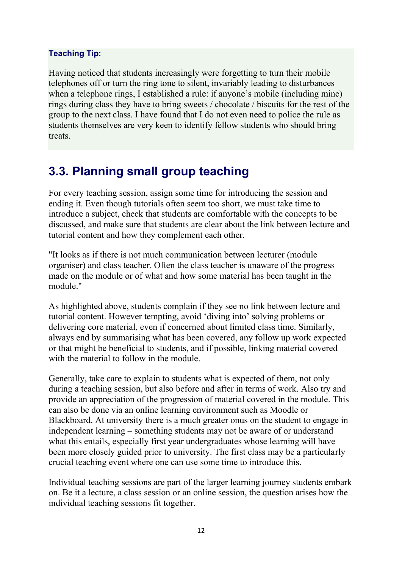#### Teaching Tip:

Having noticed that students increasingly were forgetting to turn their mobile telephones off or turn the ring tone to silent, invariably leading to disturbances when a telephone rings. I established a rule: if anyone's mobile (including mine) rings during class they have to bring sweets / chocolate / biscuits for the rest of the group to the next class. I have found that I do not even need to police the rule as students themselves are very keen to identify fellow students who should bring treats.

### <span id="page-11-0"></span>3.3. Planning small group teaching

For every teaching session, assign some time for introducing the session and ending it. Even though tutorials often seem too short, we must take time to introduce a subject, check that students are comfortable with the concepts to be discussed, and make sure that students are clear about the link between lecture and tutorial content and how they complement each other.

"It looks as if there is not much communication between lecturer (module organiser) and class teacher. Often the class teacher is unaware of the progress made on the module or of what and how some material has been taught in the module."

As highlighted above, students complain if they see no link between lecture and tutorial content. However tempting, avoid 'diving into' solving problems or delivering core material, even if concerned about limited class time. Similarly, always end by summarising what has been covered, any follow up work expected or that might be beneficial to students, and if possible, linking material covered with the material to follow in the module.

Generally, take care to explain to students what is expected of them, not only during a teaching session, but also before and after in terms of work. Also try and provide an appreciation of the progression of material covered in the module. This can also be done via an online learning environment such as Moodle or Blackboard. At university there is a much greater onus on the student to engage in independent learning – something students may not be aware of or understand what this entails, especially first year undergraduates whose learning will have been more closely guided prior to university. The first class may be a particularly crucial teaching event where one can use some time to introduce this.

Individual teaching sessions are part of the larger learning journey students embark on. Be it a lecture, a class session or an online session, the question arises how the individual teaching sessions fit together.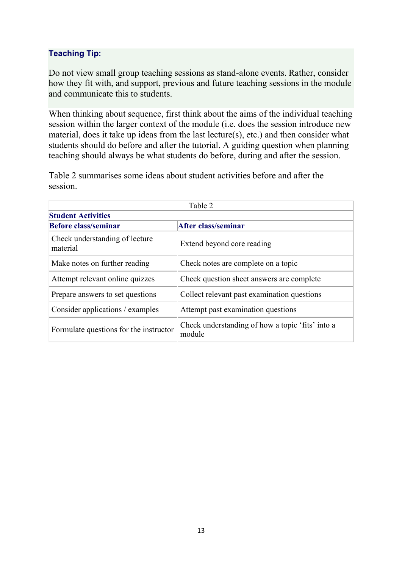### Teaching Tip:

Do not view small group teaching sessions as stand-alone events. Rather, consider how they fit with, and support, previous and future teaching sessions in the module and communicate this to students.

When thinking about sequence, first think about the aims of the individual teaching session within the larger context of the module (i.e. does the session introduce new material, does it take up ideas from the last lecture(s), etc.) and then consider what students should do before and after the tutorial. A guiding question when planning teaching should always be what students do before, during and after the session.

Table 2 summarises some ideas about student activities before and after the session.

| Table 2                                    |                                                            |
|--------------------------------------------|------------------------------------------------------------|
| <b>Student Activities</b>                  |                                                            |
| <b>Before class/seminar</b>                | After class/seminar                                        |
| Check understanding of lecture<br>material | Extend beyond core reading                                 |
| Make notes on further reading              | Check notes are complete on a topic                        |
| Attempt relevant online quizzes            | Check question sheet answers are complete                  |
| Prepare answers to set questions           | Collect relevant past examination questions                |
| Consider applications / examples           | Attempt past examination questions                         |
| Formulate questions for the instructor     | Check understanding of how a topic 'fits' into a<br>module |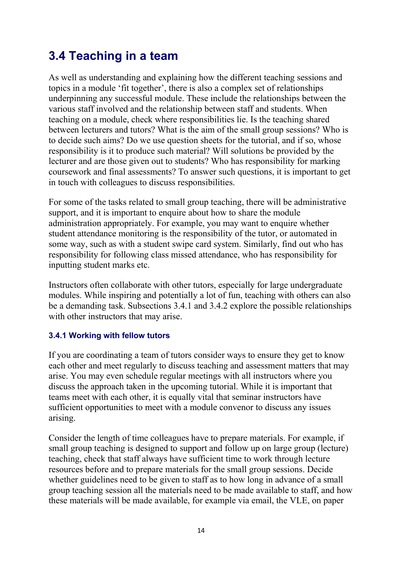### <span id="page-13-0"></span>3.4 Teaching in a team

As well as understanding and explaining how the different teaching sessions and topics in a module 'fit together', there is also a complex set of relationships underpinning any successful module. These include the relationships between the various staff involved and the relationship between staff and students. When teaching on a module, check where responsibilities lie. Is the teaching shared between lecturers and tutors? What is the aim of the small group sessions? Who is to decide such aims? Do we use question sheets for the tutorial, and if so, whose responsibility is it to produce such material? Will solutions be provided by the lecturer and are those given out to students? Who has responsibility for marking coursework and final assessments? To answer such questions, it is important to get in touch with colleagues to discuss responsibilities.

For some of the tasks related to small group teaching, there will be administrative support, and it is important to enquire about how to share the module administration appropriately. For example, you may want to enquire whether student attendance monitoring is the responsibility of the tutor, or automated in some way, such as with a student swipe card system. Similarly, find out who has responsibility for following class missed attendance, who has responsibility for inputting student marks etc.

Instructors often collaborate with other tutors, especially for large undergraduate modules. While inspiring and potentially a lot of fun, teaching with others can also be a demanding task. Subsections 3.4.1 and 3.4.2 explore the possible relationships with other instructors that may arise.

### 3.4.1 Working with fellow tutors

If you are coordinating a team of tutors consider ways to ensure they get to know each other and meet regularly to discuss teaching and assessment matters that may arise. You may even schedule regular meetings with all instructors where you discuss the approach taken in the upcoming tutorial. While it is important that teams meet with each other, it is equally vital that seminar instructors have sufficient opportunities to meet with a module convenor to discuss any issues arising.

Consider the length of time colleagues have to prepare materials. For example, if small group teaching is designed to support and follow up on large group (lecture) teaching, check that staff always have sufficient time to work through lecture resources before and to prepare materials for the small group sessions. Decide whether guidelines need to be given to staff as to how long in advance of a small group teaching session all the materials need to be made available to staff, and how these materials will be made available, for example via email, the VLE, on paper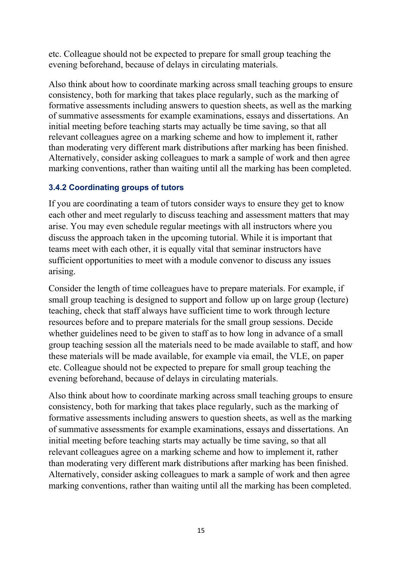etc. Colleague should not be expected to prepare for small group teaching the evening beforehand, because of delays in circulating materials.

Also think about how to coordinate marking across small teaching groups to ensure consistency, both for marking that takes place regularly, such as the marking of formative assessments including answers to question sheets, as well as the marking of summative assessments for example examinations, essays and dissertations. An initial meeting before teaching starts may actually be time saving, so that all relevant colleagues agree on a marking scheme and how to implement it, rather than moderating very different mark distributions after marking has been finished. Alternatively, consider asking colleagues to mark a sample of work and then agree marking conventions, rather than waiting until all the marking has been completed.

### 3.4.2 Coordinating groups of tutors

If you are coordinating a team of tutors consider ways to ensure they get to know each other and meet regularly to discuss teaching and assessment matters that may arise. You may even schedule regular meetings with all instructors where you discuss the approach taken in the upcoming tutorial. While it is important that teams meet with each other, it is equally vital that seminar instructors have sufficient opportunities to meet with a module convenor to discuss any issues arising.

Consider the length of time colleagues have to prepare materials. For example, if small group teaching is designed to support and follow up on large group (lecture) teaching, check that staff always have sufficient time to work through lecture resources before and to prepare materials for the small group sessions. Decide whether guidelines need to be given to staff as to how long in advance of a small group teaching session all the materials need to be made available to staff, and how these materials will be made available, for example via email, the VLE, on paper etc. Colleague should not be expected to prepare for small group teaching the evening beforehand, because of delays in circulating materials.

<span id="page-14-0"></span>Also think about how to coordinate marking across small teaching groups to ensure consistency, both for marking that takes place regularly, such as the marking of formative assessments including answers to question sheets, as well as the marking of summative assessments for example examinations, essays and dissertations. An initial meeting before teaching starts may actually be time saving, so that all relevant colleagues agree on a marking scheme and how to implement it, rather than moderating very different mark distributions after marking has been finished. Alternatively, consider asking colleagues to mark a sample of work and then agree marking conventions, rather than waiting until all the marking has been completed.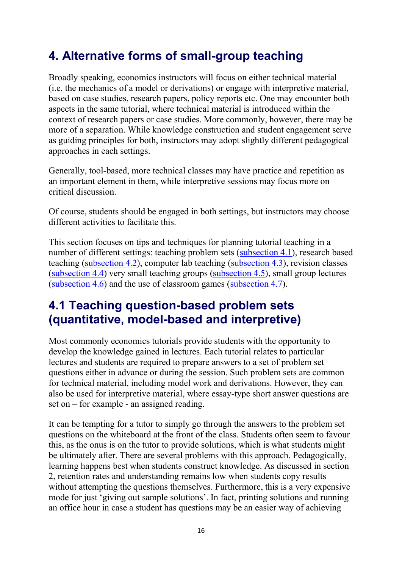# 4. Alternative forms of small-group teaching

Broadly speaking, economics instructors will focus on either technical material (i.e. the mechanics of a model or derivations) or engage with interpretive material, based on case studies, research papers, policy reports etc. One may encounter both aspects in the same tutorial, where technical material is introduced within the context of research papers or case studies. More commonly, however, there may be more of a separation. While knowledge construction and student engagement serve as guiding principles for both, instructors may adopt slightly different pedagogical approaches in each settings.

Generally, tool-based, more technical classes may have practice and repetition as an important element in them, while interpretive sessions may focus more on critical discussion.

Of course, students should be engaged in both settings, but instructors may choose different activities to facilitate this.

This section focuses on tips and techniques for planning tutorial teaching in a number of different settings: teaching problem sets [\(subsection 4.1\)](https://www.economicsnetwork.ac.uk/handbook/smallgroup/41), research based teaching [\(subsection 4.2\)](https://www.economicsnetwork.ac.uk/handbook/smallgroup/42), computer lab teaching [\(subsection 4.3\)](https://www.economicsnetwork.ac.uk/handbook/smallgroup/43), revision classes [\(subsection 4.4\)](https://www.economicsnetwork.ac.uk/handbook/smallgroup/44) very small teaching groups [\(subsection 4.5\)](https://www.economicsnetwork.ac.uk/handbook/smallgroup/45), small group lectures  $(subsection 4.6)$  and the use of classroom games  $(subsection 4.7)$ .

### <span id="page-15-0"></span>4.1 Teaching question-based problem sets (quantitative, model-based and interpretive)

Most commonly economics tutorials provide students with the opportunity to develop the knowledge gained in lectures. Each tutorial relates to particular lectures and students are required to prepare answers to a set of problem set questions either in advance or during the session. Such problem sets are common for technical material, including model work and derivations. However, they can also be used for interpretive material, where essay-type short answer questions are set on – for example - an assigned reading.

It can be tempting for a tutor to simply go through the answers to the problem set questions on the whiteboard at the front of the class. Students often seem to favour this, as the onus is on the tutor to provide solutions, which is what students might be ultimately after. There are several problems with this approach. Pedagogically, learning happens best when students construct knowledge. As discussed in section 2, retention rates and understanding remains low when students copy results without attempting the questions themselves. Furthermore, this is a very expensive mode for just 'giving out sample solutions'. In fact, printing solutions and running an office hour in case a student has questions may be an easier way of achieving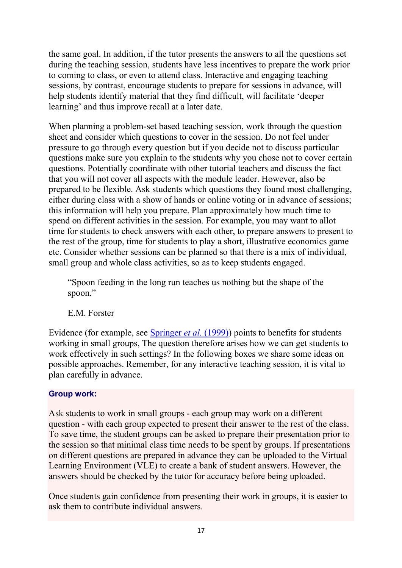the same goal. In addition, if the tutor presents the answers to all the questions set during the teaching session, students have less incentives to prepare the work prior to coming to class, or even to attend class. Interactive and engaging teaching sessions, by contrast, encourage students to prepare for sessions in advance, will help students identify material that they find difficult, will facilitate 'deeper learning' and thus improve recall at a later date.

When planning a problem-set based teaching session, work through the question sheet and consider which questions to cover in the session. Do not feel under pressure to go through every question but if you decide not to discuss particular questions make sure you explain to the students why you chose not to cover certain questions. Potentially coordinate with other tutorial teachers and discuss the fact that you will not cover all aspects with the module leader. However, also be prepared to be flexible. Ask students which questions they found most challenging, either during class with a show of hands or online voting or in advance of sessions; this information will help you prepare. Plan approximately how much time to spend on different activities in the session. For example, you may want to allot time for students to check answers with each other, to prepare answers to present to the rest of the group, time for students to play a short, illustrative economics game etc. Consider whether sessions can be planned so that there is a mix of individual, small group and whole class activities, so as to keep students engaged.

"Spoon feeding in the long run teaches us nothing but the shape of the spoon."

E.M. Forster

Evidence (for example, see **[Springer](https://www.economicsnetwork.ac.uk/refs#springer1999)** *et al.* (1999)) points to benefits for students working in small groups, The question therefore arises how we can get students to work effectively in such settings? In the following boxes we share some ideas on possible approaches. Remember, for any interactive teaching session, it is vital to plan carefully in advance.

### Group work:

Ask students to work in small groups - each group may work on a different question - with each group expected to present their answer to the rest of the class. To save time, the student groups can be asked to prepare their presentation prior to the session so that minimal class time needs to be spent by groups. If presentations on different questions are prepared in advance they can be uploaded to the Virtual Learning Environment (VLE) to create a bank of student answers. However, the answers should be checked by the tutor for accuracy before being uploaded.

Once students gain confidence from presenting their work in groups, it is easier to ask them to contribute individual answers.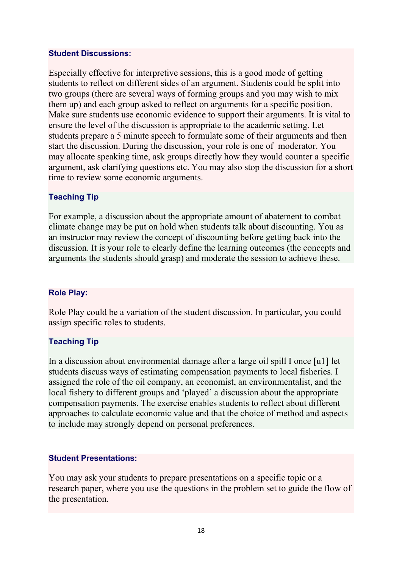#### Student Discussions:

Especially effective for interpretive sessions, this is a good mode of getting students to reflect on different sides of an argument. Students could be split into two groups (there are several ways of forming groups and you may wish to mix them up) and each group asked to reflect on arguments for a specific position. Make sure students use economic evidence to support their arguments. It is vital to ensure the level of the discussion is appropriate to the academic setting. Let students prepare a 5 minute speech to formulate some of their arguments and then start the discussion. During the discussion, your role is one of moderator. You may allocate speaking time, ask groups directly how they would counter a specific argument, ask clarifying questions etc. You may also stop the discussion for a short time to review some economic arguments.

#### Teaching Tip

For example, a discussion about the appropriate amount of abatement to combat climate change may be put on hold when students talk about discounting. You as an instructor may review the concept of discounting before getting back into the discussion. It is your role to clearly define the learning outcomes (the concepts and arguments the students should grasp) and moderate the session to achieve these.

#### Role Play:

Role Play could be a variation of the student discussion. In particular, you could assign specific roles to students.

#### Teaching Tip

In a discussion about environmental damage after a large oil spill I once [u1] let students discuss ways of estimating compensation payments to local fisheries. I assigned the role of the oil company, an economist, an environmentalist, and the local fishery to different groups and 'played' a discussion about the appropriate compensation payments. The exercise enables students to reflect about different approaches to calculate economic value and that the choice of method and aspects to include may strongly depend on personal preferences.

#### Student Presentations:

You may ask your students to prepare presentations on a specific topic or a research paper, where you use the questions in the problem set to guide the flow of the presentation.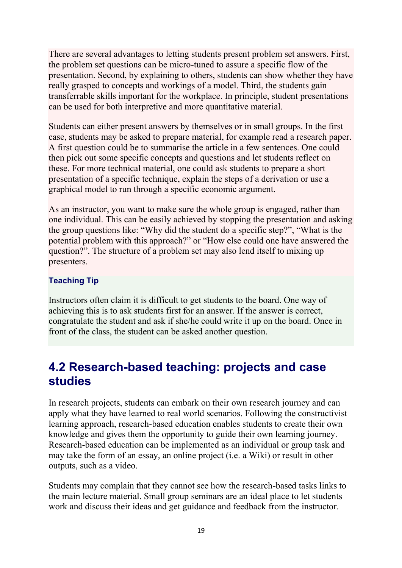There are several advantages to letting students present problem set answers. First, the problem set questions can be micro-tuned to assure a specific flow of the presentation. Second, by explaining to others, students can show whether they have really grasped to concepts and workings of a model. Third, the students gain transferrable skills important for the workplace. In principle, student presentations can be used for both interpretive and more quantitative material.

Students can either present answers by themselves or in small groups. In the first case, students may be asked to prepare material, for example read a research paper. A first question could be to summarise the article in a few sentences. One could then pick out some specific concepts and questions and let students reflect on these. For more technical material, one could ask students to prepare a short presentation of a specific technique, explain the steps of a derivation or use a graphical model to run through a specific economic argument.

As an instructor, you want to make sure the whole group is engaged, rather than one individual. This can be easily achieved by stopping the presentation and asking the group questions like: "Why did the student do a specific step?", "What is the potential problem with this approach?" or "How else could one have answered the question?". The structure of a problem set may also lend itself to mixing up presenters.

### Teaching Tip

Instructors often claim it is difficult to get students to the board. One way of achieving this is to ask students first for an answer. If the answer is correct, congratulate the student and ask if she/he could write it up on the board. Once in front of the class, the student can be asked another question.

### <span id="page-18-0"></span>4.2 Research-based teaching: projects and case studies

In research projects, students can embark on their own research journey and can apply what they have learned to real world scenarios. Following the constructivist learning approach, research-based education enables students to create their own knowledge and gives them the opportunity to guide their own learning journey. Research-based education can be implemented as an individual or group task and may take the form of an essay, an online project (i.e. a Wiki) or result in other outputs, such as a video.

Students may complain that they cannot see how the research-based tasks links to the main lecture material. Small group seminars are an ideal place to let students work and discuss their ideas and get guidance and feedback from the instructor.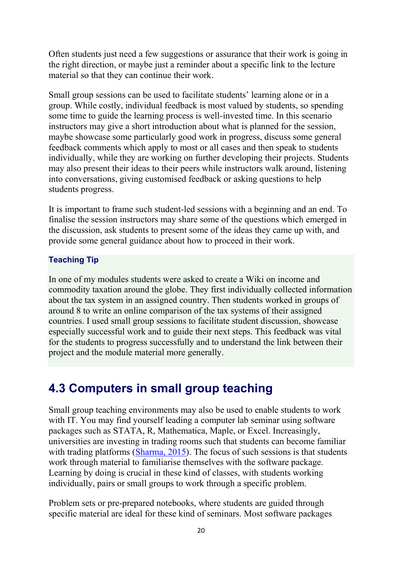Often students just need a few suggestions or assurance that their work is going in the right direction, or maybe just a reminder about a specific link to the lecture material so that they can continue their work.

Small group sessions can be used to facilitate students' learning alone or in a group. While costly, individual feedback is most valued by students, so spending some time to guide the learning process is well-invested time. In this scenario instructors may give a short introduction about what is planned for the session, maybe showcase some particularly good work in progress, discuss some general feedback comments which apply to most or all cases and then speak to students individually, while they are working on further developing their projects. Students may also present their ideas to their peers while instructors walk around, listening into conversations, giving customised feedback or asking questions to help students progress.

It is important to frame such student-led sessions with a beginning and an end. To finalise the session instructors may share some of the questions which emerged in the discussion, ask students to present some of the ideas they came up with, and provide some general guidance about how to proceed in their work.

#### Teaching Tip

In one of my modules students were asked to create a Wiki on income and commodity taxation around the globe. They first individually collected information about the tax system in an assigned country. Then students worked in groups of around 8 to write an online comparison of the tax systems of their assigned countries. I used small group sessions to facilitate student discussion, showcase especially successful work and to guide their next steps. This feedback was vital for the students to progress successfully and to understand the link between their project and the module material more generally.

### <span id="page-19-0"></span>4.3 Computers in small group teaching

Small group teaching environments may also be used to enable students to work with IT. You may find yourself leading a computer lab seminar using software packages such as STATA, R, Mathematica, Maple, or Excel. Increasingly, universities are investing in trading rooms such that students can become familiar with trading platforms [\(Sharma, 2015\)](https://www.economicsnetwork.ac.uk/refs#sharma2015). The focus of such sessions is that students work through material to familiarise themselves with the software package. Learning by doing is crucial in these kind of classes, with students working individually, pairs or small groups to work through a specific problem.

Problem sets or pre-prepared notebooks, where students are guided through specific material are ideal for these kind of seminars. Most software packages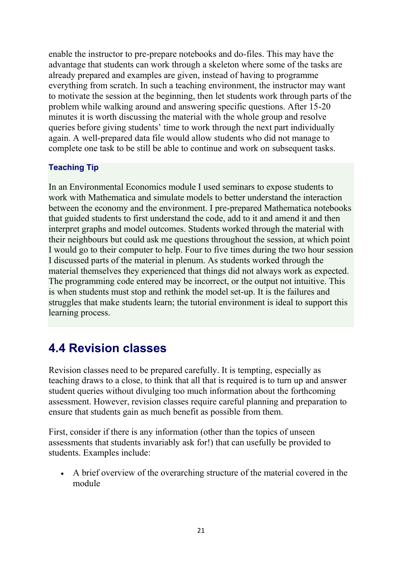enable the instructor to pre-prepare notebooks and do-files. This may have the advantage that students can work through a skeleton where some of the tasks are already prepared and examples are given, instead of having to programme everything from scratch. In such a teaching environment, the instructor may want to motivate the session at the beginning, then let students work through parts of the problem while walking around and answering specific questions. After 15-20 minutes it is worth discussing the material with the whole group and resolve queries before giving students' time to work through the next part individually again. A well-prepared data file would allow students who did not manage to complete one task to be still be able to continue and work on subsequent tasks.

#### Teaching Tip

In an Environmental Economics module I used seminars to expose students to work with Mathematica and simulate models to better understand the interaction between the economy and the environment. I pre-prepared Mathematica notebooks that guided students to first understand the code, add to it and amend it and then interpret graphs and model outcomes. Students worked through the material with their neighbours but could ask me questions throughout the session, at which point I would go to their computer to help. Four to five times during the two hour session I discussed parts of the material in plenum. As students worked through the material themselves they experienced that things did not always work as expected. The programming code entered may be incorrect, or the output not intuitive. This is when students must stop and rethink the model set-up. It is the failures and struggles that make students learn; the tutorial environment is ideal to support this learning process.

### <span id="page-20-0"></span>4.4 Revision classes

Revision classes need to be prepared carefully. It is tempting, especially as teaching draws to a close, to think that all that is required is to turn up and answer student queries without divulging too much information about the forthcoming assessment. However, revision classes require careful planning and preparation to ensure that students gain as much benefit as possible from them.

First, consider if there is any information (other than the topics of unseen assessments that students invariably ask for!) that can usefully be provided to students. Examples include:

• A brief overview of the overarching structure of the material covered in the module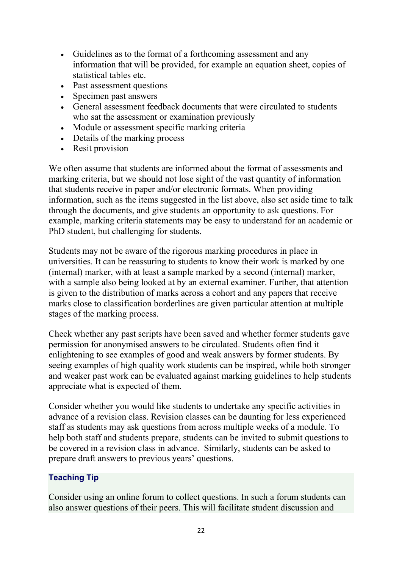- Guidelines as to the format of a forthcoming assessment and any information that will be provided, for example an equation sheet, copies of statistical tables etc.
- Past assessment questions
- Specimen past answers
- General assessment feedback documents that were circulated to students who sat the assessment or examination previously
- Module or assessment specific marking criteria
- Details of the marking process
- Resit provision

We often assume that students are informed about the format of assessments and marking criteria, but we should not lose sight of the vast quantity of information that students receive in paper and/or electronic formats. When providing information, such as the items suggested in the list above, also set aside time to talk through the documents, and give students an opportunity to ask questions. For example, marking criteria statements may be easy to understand for an academic or PhD student, but challenging for students.

Students may not be aware of the rigorous marking procedures in place in universities. It can be reassuring to students to know their work is marked by one (internal) marker, with at least a sample marked by a second (internal) marker, with a sample also being looked at by an external examiner. Further, that attention is given to the distribution of marks across a cohort and any papers that receive marks close to classification borderlines are given particular attention at multiple stages of the marking process.

Check whether any past scripts have been saved and whether former students gave permission for anonymised answers to be circulated. Students often find it enlightening to see examples of good and weak answers by former students. By seeing examples of high quality work students can be inspired, while both stronger and weaker past work can be evaluated against marking guidelines to help students appreciate what is expected of them.

Consider whether you would like students to undertake any specific activities in advance of a revision class. Revision classes can be daunting for less experienced staff as students may ask questions from across multiple weeks of a module. To help both staff and students prepare, students can be invited to submit questions to be covered in a revision class in advance. Similarly, students can be asked to prepare draft answers to previous years' questions.

### Teaching Tip

Consider using an online forum to collect questions. In such a forum students can also answer questions of their peers. This will facilitate student discussion and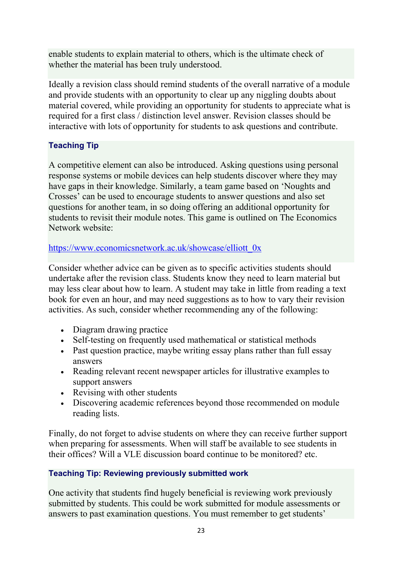enable students to explain material to others, which is the ultimate check of whether the material has been truly understood.

Ideally a revision class should remind students of the overall narrative of a module and provide students with an opportunity to clear up any niggling doubts about material covered, while providing an opportunity for students to appreciate what is required for a first class / distinction level answer. Revision classes should be interactive with lots of opportunity for students to ask questions and contribute.

### Teaching Tip

A competitive element can also be introduced. Asking questions using personal response systems or mobile devices can help students discover where they may have gaps in their knowledge. Similarly, a team game based on 'Noughts and Crosses' can be used to encourage students to answer questions and also set questions for another team, in so doing offering an additional opportunity for students to revisit their module notes. This game is outlined on The Economics Network website:

### [https://www.economicsnetwork.ac.uk/showcase/elliott\\_0x](https://www.economicsnetwork.ac.uk/showcase/elliott_0x)

Consider whether advice can be given as to specific activities students should undertake after the revision class. Students know they need to learn material but may less clear about how to learn. A student may take in little from reading a text book for even an hour, and may need suggestions as to how to vary their revision activities. As such, consider whether recommending any of the following:

- Diagram drawing practice
- Self-testing on frequently used mathematical or statistical methods
- Past question practice, may be writing essay plans rather than full essay answers
- Reading relevant recent newspaper articles for illustrative examples to support answers
- Revising with other students
- Discovering academic references beyond those recommended on module reading lists.

Finally, do not forget to advise students on where they can receive further support when preparing for assessments. When will staff be available to see students in their offices? Will a VLE discussion board continue to be monitored? etc.

### Teaching Tip: Reviewing previously submitted work

One activity that students find hugely beneficial is reviewing work previously submitted by students. This could be work submitted for module assessments or answers to past examination questions. You must remember to get students'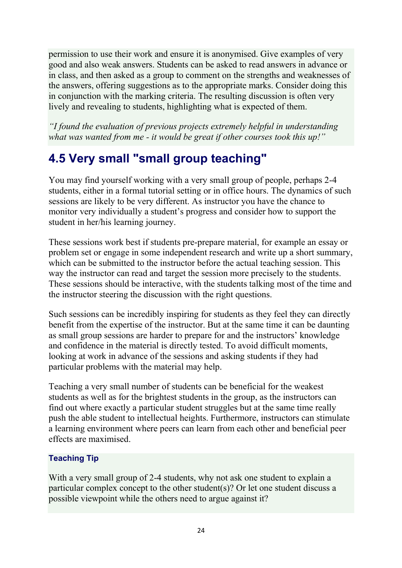permission to use their work and ensure it is anonymised. Give examples of very good and also weak answers. Students can be asked to read answers in advance or in class, and then asked as a group to comment on the strengths and weaknesses of the answers, offering suggestions as to the appropriate marks. Consider doing this in conjunction with the marking criteria. The resulting discussion is often very lively and revealing to students, highlighting what is expected of them.

*"I found the evaluation of previous projects extremely helpful in understanding what was wanted from me - it would be great if other courses took this up!"*

# <span id="page-23-0"></span>4.5 Very small "small group teaching"

You may find yourself working with a very small group of people, perhaps 2-4 students, either in a formal tutorial setting or in office hours. The dynamics of such sessions are likely to be very different. As instructor you have the chance to monitor very individually a student's progress and consider how to support the student in her/his learning journey.

These sessions work best if students pre-prepare material, for example an essay or problem set or engage in some independent research and write up a short summary, which can be submitted to the instructor before the actual teaching session. This way the instructor can read and target the session more precisely to the students. These sessions should be interactive, with the students talking most of the time and the instructor steering the discussion with the right questions.

Such sessions can be incredibly inspiring for students as they feel they can directly benefit from the expertise of the instructor. But at the same time it can be daunting as small group sessions are harder to prepare for and the instructors' knowledge and confidence in the material is directly tested. To avoid difficult moments, looking at work in advance of the sessions and asking students if they had particular problems with the material may help.

Teaching a very small number of students can be beneficial for the weakest students as well as for the brightest students in the group, as the instructors can find out where exactly a particular student struggles but at the same time really push the able student to intellectual heights. Furthermore, instructors can stimulate a learning environment where peers can learn from each other and beneficial peer effects are maximised.

### Teaching Tip

With a very small group of 2-4 students, why not ask one student to explain a particular complex concept to the other student(s)? Or let one student discuss a possible viewpoint while the others need to argue against it?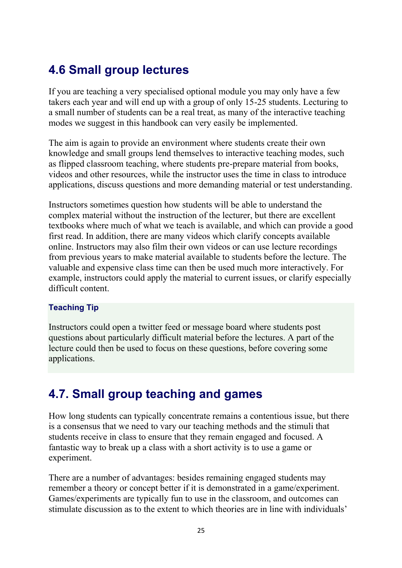# <span id="page-24-0"></span>4.6 Small group lectures

If you are teaching a very specialised optional module you may only have a few takers each year and will end up with a group of only 15-25 students. Lecturing to a small number of students can be a real treat, as many of the interactive teaching modes we suggest in this handbook can very easily be implemented.

The aim is again to provide an environment where students create their own knowledge and small groups lend themselves to interactive teaching modes, such as flipped classroom teaching, where students pre-prepare material from books, videos and other resources, while the instructor uses the time in class to introduce applications, discuss questions and more demanding material or test understanding.

Instructors sometimes question how students will be able to understand the complex material without the instruction of the lecturer, but there are excellent textbooks where much of what we teach is available, and which can provide a good first read. In addition, there are many videos which clarify concepts available online. Instructors may also film their own videos or can use lecture recordings from previous years to make material available to students before the lecture. The valuable and expensive class time can then be used much more interactively. For example, instructors could apply the material to current issues, or clarify especially difficult content.

### Teaching Tip

Instructors could open a twitter feed or message board where students post questions about particularly difficult material before the lectures. A part of the lecture could then be used to focus on these questions, before covering some applications.

### <span id="page-24-1"></span>4.7. Small group teaching and games

How long students can typically concentrate remains a contentious issue, but there is a consensus that we need to vary our teaching methods and the stimuli that students receive in class to ensure that they remain engaged and focused. A fantastic way to break up a class with a short activity is to use a game or experiment.

There are a number of advantages: besides remaining engaged students may remember a theory or concept better if it is demonstrated in a game/experiment. Games/experiments are typically fun to use in the classroom, and outcomes can stimulate discussion as to the extent to which theories are in line with individuals'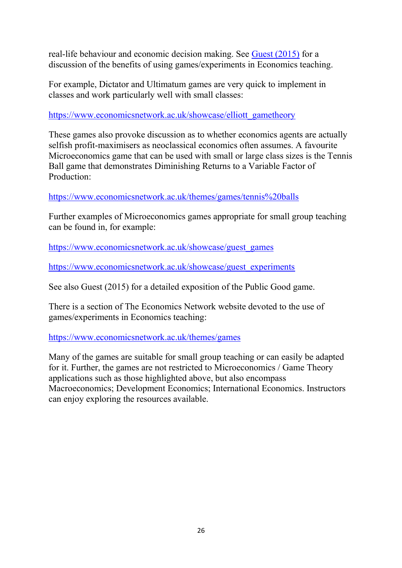real-life behaviour and economic decision making. See [Guest \(2015\)](https://www.economicsnetwork.ac.uk/refs#guest2015) for a discussion of the benefits of using games/experiments in Economics teaching.

For example, Dictator and Ultimatum games are very quick to implement in classes and work particularly well with small classes:

[https://www.economicsnetwork.ac.uk/showcase/elliott\\_gametheory](https://www.economicsnetwork.ac.uk/showcase/elliott_gametheory)

These games also provoke discussion as to whether economics agents are actually selfish profit-maximisers as neoclassical economics often assumes. A favourite Microeconomics game that can be used with small or large class sizes is the Tennis Ball game that demonstrates Diminishing Returns to a Variable Factor of Production:

<https://www.economicsnetwork.ac.uk/themes/games/tennis%20balls>

Further examples of Microeconomics games appropriate for small group teaching can be found in, for example:

[https://www.economicsnetwork.ac.uk/showcase/guest\\_games](https://www.economicsnetwork.ac.uk/showcase/guest_games)

[https://www.economicsnetwork.ac.uk/showcase/guest\\_experiments](https://www.economicsnetwork.ac.uk/showcase/guest_experiments)

See also Guest (2015) for a detailed exposition of the Public Good game.

There is a section of The Economics Network website devoted to the use of games/experiments in Economics teaching:

<https://www.economicsnetwork.ac.uk/themes/games>

Many of the games are suitable for small group teaching or can easily be adapted for it. Further, the games are not restricted to Microeconomics / Game Theory applications such as those highlighted above, but also encompass Macroeconomics; Development Economics; International Economics. Instructors can enjoy exploring the resources available.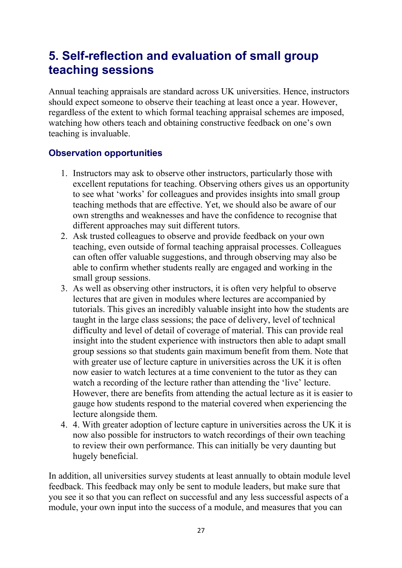### <span id="page-26-0"></span>5. Self-reflection and evaluation of small group teaching sessions

Annual teaching appraisals are standard across UK universities. Hence, instructors should expect someone to observe their teaching at least once a year. However, regardless of the extent to which formal teaching appraisal schemes are imposed, watching how others teach and obtaining constructive feedback on one's own teaching is invaluable.

### Observation opportunities

- 1. Instructors may ask to observe other instructors, particularly those with excellent reputations for teaching. Observing others gives us an opportunity to see what 'works' for colleagues and provides insights into small group teaching methods that are effective. Yet, we should also be aware of our own strengths and weaknesses and have the confidence to recognise that different approaches may suit different tutors.
- 2. Ask trusted colleagues to observe and provide feedback on your own teaching, even outside of formal teaching appraisal processes. Colleagues can often offer valuable suggestions, and through observing may also be able to confirm whether students really are engaged and working in the small group sessions.
- 3. As well as observing other instructors, it is often very helpful to observe lectures that are given in modules where lectures are accompanied by tutorials. This gives an incredibly valuable insight into how the students are taught in the large class sessions; the pace of delivery, level of technical difficulty and level of detail of coverage of material. This can provide real insight into the student experience with instructors then able to adapt small group sessions so that students gain maximum benefit from them. Note that with greater use of lecture capture in universities across the UK it is often now easier to watch lectures at a time convenient to the tutor as they can watch a recording of the lecture rather than attending the 'live' lecture. However, there are benefits from attending the actual lecture as it is easier to gauge how students respond to the material covered when experiencing the lecture alongside them.
- 4. 4. With greater adoption of lecture capture in universities across the UK it is now also possible for instructors to watch recordings of their own teaching to review their own performance. This can initially be very daunting but hugely beneficial.

In addition, all universities survey students at least annually to obtain module level feedback. This feedback may only be sent to module leaders, but make sure that you see it so that you can reflect on successful and any less successful aspects of a module, your own input into the success of a module, and measures that you can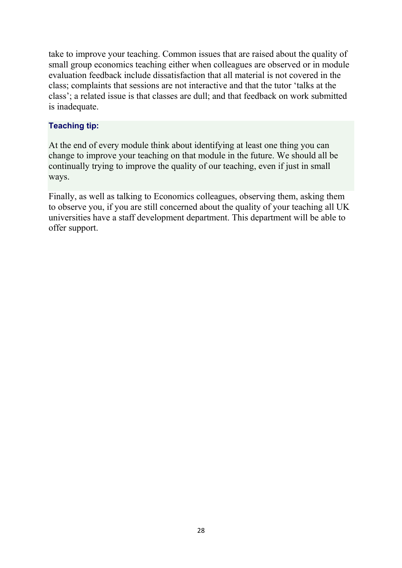take to improve your teaching. Common issues that are raised about the quality of small group economics teaching either when colleagues are observed or in module evaluation feedback include dissatisfaction that all material is not covered in the class; complaints that sessions are not interactive and that the tutor 'talks at the class'; a related issue is that classes are dull; and that feedback on work submitted is inadequate.

#### Teaching tip:

At the end of every module think about identifying at least one thing you can change to improve your teaching on that module in the future. We should all be continually trying to improve the quality of our teaching, even if just in small ways.

Finally, as well as talking to Economics colleagues, observing them, asking them to observe you, if you are still concerned about the quality of your teaching all UK universities have a staff development department. This department will be able to offer support.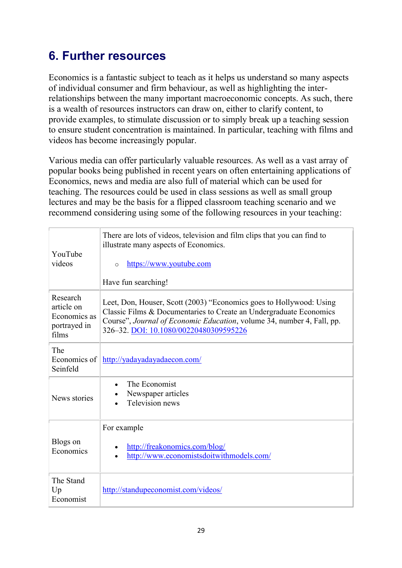# <span id="page-28-0"></span>6. Further resources

Economics is a fantastic subject to teach as it helps us understand so many aspects of individual consumer and firm behaviour, as well as highlighting the interrelationships between the many important macroeconomic concepts. As such, there is a wealth of resources instructors can draw on, either to clarify content, to provide examples, to stimulate discussion or to simply break up a teaching session to ensure student concentration is maintained. In particular, teaching with films and videos has become increasingly popular.

Various media can offer particularly valuable resources. As well as a vast array of popular books being published in recent years on often entertaining applications of Economics, news and media are also full of material which can be used for teaching. The resources could be used in class sessions as well as small group lectures and may be the basis for a flipped classroom teaching scenario and we recommend considering using some of the following resources in your teaching:

| YouTube<br>videos                                               | There are lots of videos, television and film clips that you can find to<br>illustrate many aspects of Economics.<br>https://www.youtube.com<br>$\Omega$<br>Have fun searching!                                                                               |
|-----------------------------------------------------------------|---------------------------------------------------------------------------------------------------------------------------------------------------------------------------------------------------------------------------------------------------------------|
| Research<br>article on<br>Economics as<br>portrayed in<br>films | Leet, Don, Houser, Scott (2003) "Economics goes to Hollywood: Using<br>Classic Films & Documentaries to Create an Undergraduate Economics<br>Course", Journal of Economic Education, volume 34, number 4, Fall, pp.<br>326-32. DOI: 10.1080/00220480309595226 |
| The<br>Economics of<br>Seinfeld                                 | http://yadayadayadaecon.com/                                                                                                                                                                                                                                  |
| News stories                                                    | The Economist<br>Newspaper articles<br>Television news                                                                                                                                                                                                        |
| Blogs on<br>Economics                                           | For example<br>http://freakonomics.com/blog/<br>http://www.economistsdoitwithmodels.com/                                                                                                                                                                      |
| The Stand<br>Up<br>Economist                                    | http://standupeconomist.com/videos/                                                                                                                                                                                                                           |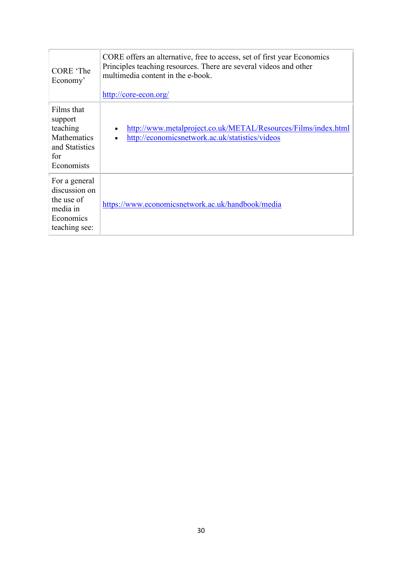| CORE 'The<br>Economy'                                                                   | CORE offers an alternative, free to access, set of first year Economics<br>Principles teaching resources. There are several videos and other<br>multimedia content in the e-book.<br>http://core-econ.org/ |
|-----------------------------------------------------------------------------------------|------------------------------------------------------------------------------------------------------------------------------------------------------------------------------------------------------------|
| Films that<br>support<br>teaching<br>Mathematics<br>and Statistics<br>for<br>Economists | http://www.metalproject.co.uk/METAL/Resources/Films/index.html<br>http://economicsnetwork.ac.uk/statistics/videos<br>$\bullet$                                                                             |
| For a general<br>discussion on<br>the use of<br>media in<br>Economics<br>teaching see:  | https://www.economicsnetwork.ac.uk/handbook/media                                                                                                                                                          |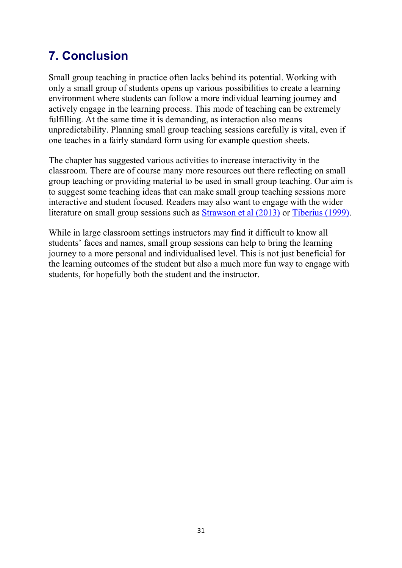# <span id="page-30-0"></span>7. Conclusion

Small group teaching in practice often lacks behind its potential. Working with only a small group of students opens up various possibilities to create a learning environment where students can follow a more individual learning journey and actively engage in the learning process. This mode of teaching can be extremely fulfilling. At the same time it is demanding, as interaction also means unpredictability. Planning small group teaching sessions carefully is vital, even if one teaches in a fairly standard form using for example question sheets.

The chapter has suggested various activities to increase interactivity in the classroom. There are of course many more resources out there reflecting on small group teaching or providing material to be used in small group teaching. Our aim is to suggest some teaching ideas that can make small group teaching sessions more interactive and student focused. Readers may also want to engage with the wider literature on small group sessions such as [Strawson et al \(2013\)](https://www.economicsnetwork.ac.uk/refs#strawson2013) or [Tiberius \(1999\).](https://www.economicsnetwork.ac.uk/refs#tiberius1999)

While in large classroom settings instructors may find it difficult to know all students' faces and names, small group sessions can help to bring the learning journey to a more personal and individualised level. This is not just beneficial for the learning outcomes of the student but also a much more fun way to engage with students, for hopefully both the student and the instructor.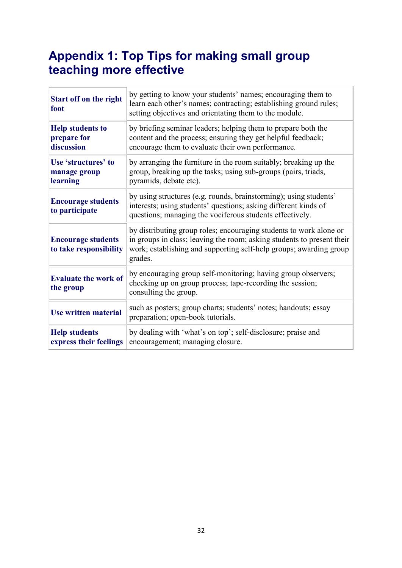# <span id="page-31-0"></span>Appendix 1: Top Tips for making small group teaching more effective

| <b>Start off on the right</b><br>foot                | by getting to know your students' names; encouraging them to<br>learn each other's names; contracting; establishing ground rules;<br>setting objectives and orientating them to the module.                                   |
|------------------------------------------------------|-------------------------------------------------------------------------------------------------------------------------------------------------------------------------------------------------------------------------------|
| <b>Help students to</b><br>prepare for<br>discussion | by briefing seminar leaders; helping them to prepare both the<br>content and the process; ensuring they get helpful feedback;<br>encourage them to evaluate their own performance.                                            |
| Use 'structures' to<br>manage group<br>learning      | by arranging the furniture in the room suitably; breaking up the<br>group, breaking up the tasks; using sub-groups (pairs, triads,<br>pyramids, debate etc).                                                                  |
| <b>Encourage students</b><br>to participate          | by using structures (e.g. rounds, brainstorming); using students'<br>interests; using students' questions; asking different kinds of<br>questions; managing the vociferous students effectively.                              |
| <b>Encourage students</b><br>to take responsibility  | by distributing group roles; encouraging students to work alone or<br>in groups in class; leaving the room; asking students to present their<br>work; establishing and supporting self-help groups; awarding group<br>grades. |
| <b>Evaluate the work of</b><br>the group             | by encouraging group self-monitoring; having group observers;<br>checking up on group process; tape-recording the session;<br>consulting the group.                                                                           |
| <b>Use written material</b>                          | such as posters; group charts; students' notes; handouts; essay<br>preparation; open-book tutorials.                                                                                                                          |
| <b>Help students</b><br>express their feelings       | by dealing with 'what's on top'; self-disclosure; praise and<br>encouragement; managing closure.                                                                                                                              |